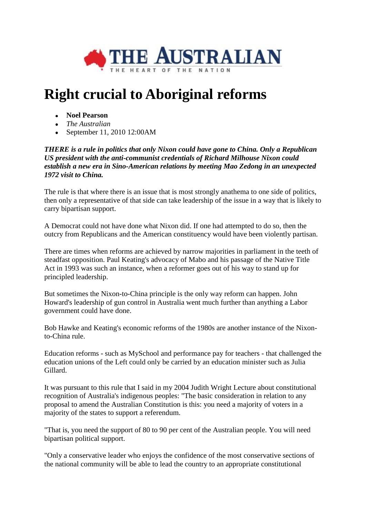

## **Right crucial to Aboriginal reforms**

- **Noel Pearson**
- *The Australian*
- September 11, 2010 12:00 AM

*THERE is a rule in politics that only Nixon could have gone to China. Only a Republican US president with the anti-communist credentials of Richard Milhouse Nixon could establish a new era in Sino-American relations by meeting Mao Zedong in an unexpected 1972 visit to China.* 

The rule is that where there is an issue that is most strongly anathema to one side of politics, then only a representative of that side can take leadership of the issue in a way that is likely to carry bipartisan support.

A Democrat could not have done what Nixon did. If one had attempted to do so, then the outcry from Republicans and the American constituency would have been violently partisan.

There are times when reforms are achieved by narrow majorities in parliament in the teeth of steadfast opposition. Paul Keating's advocacy of Mabo and his passage of the Native Title Act in 1993 was such an instance, when a reformer goes out of his way to stand up for principled leadership.

But sometimes the Nixon-to-China principle is the only way reform can happen. John Howard's leadership of gun control in Australia went much further than anything a Labor government could have done.

Bob Hawke and Keating's economic reforms of the 1980s are another instance of the Nixonto-China rule.

Education reforms - such as MySchool and performance pay for teachers - that challenged the education unions of the Left could only be carried by an education minister such as Julia Gillard.

It was pursuant to this rule that I said in my 2004 Judith Wright Lecture about constitutional recognition of Australia's indigenous peoples: "The basic consideration in relation to any proposal to amend the Australian Constitution is this: you need a majority of voters in a majority of the states to support a referendum.

"That is, you need the support of 80 to 90 per cent of the Australian people. You will need bipartisan political support.

"Only a conservative leader who enjoys the confidence of the most conservative sections of the national community will be able to lead the country to an appropriate constitutional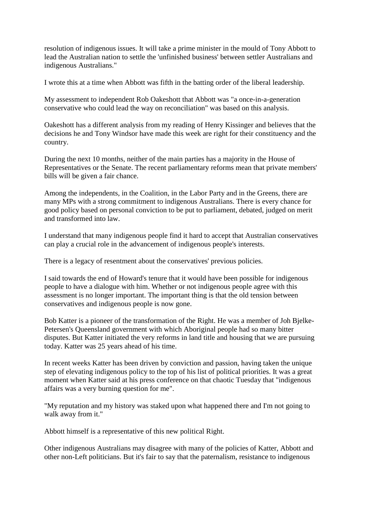resolution of indigenous issues. It will take a prime minister in the mould of Tony Abbott to lead the Australian nation to settle the 'unfinished business' between settler Australians and indigenous Australians."

I wrote this at a time when Abbott was fifth in the batting order of the liberal leadership.

My assessment to independent Rob Oakeshott that Abbott was "a once-in-a-generation conservative who could lead the way on reconciliation" was based on this analysis.

Oakeshott has a different analysis from my reading of Henry Kissinger and believes that the decisions he and Tony Windsor have made this week are right for their constituency and the country.

During the next 10 months, neither of the main parties has a majority in the House of Representatives or the Senate. The recent parliamentary reforms mean that private members' bills will be given a fair chance.

Among the independents, in the Coalition, in the Labor Party and in the Greens, there are many MPs with a strong commitment to indigenous Australians. There is every chance for good policy based on personal conviction to be put to parliament, debated, judged on merit and transformed into law.

I understand that many indigenous people find it hard to accept that Australian conservatives can play a crucial role in the advancement of indigenous people's interests.

There is a legacy of resentment about the conservatives' previous policies.

I said towards the end of Howard's tenure that it would have been possible for indigenous people to have a dialogue with him. Whether or not indigenous people agree with this assessment is no longer important. The important thing is that the old tension between conservatives and indigenous people is now gone.

Bob Katter is a pioneer of the transformation of the Right. He was a member of Joh Bjelke-Petersen's Queensland government with which Aboriginal people had so many bitter disputes. But Katter initiated the very reforms in land title and housing that we are pursuing today. Katter was 25 years ahead of his time.

In recent weeks Katter has been driven by conviction and passion, having taken the unique step of elevating indigenous policy to the top of his list of political priorities. It was a great moment when Katter said at his press conference on that chaotic Tuesday that "indigenous affairs was a very burning question for me".

"My reputation and my history was staked upon what happened there and I'm not going to walk away from it."

Abbott himself is a representative of this new political Right.

Other indigenous Australians may disagree with many of the policies of Katter, Abbott and other non-Left politicians. But it's fair to say that the paternalism, resistance to indigenous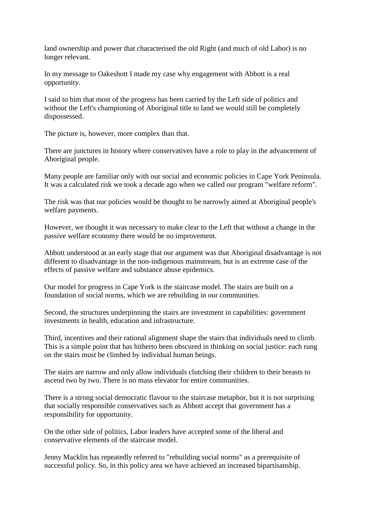land ownership and power that characterised the old Right (and much of old Labor) is no longer relevant.

In my message to Oakeshott I made my case why engagement with Abbott is a real opportunity.

I said to him that most of the progress has been carried by the Left side of politics and without the Left's championing of Aboriginal title to land we would still be completely dispossessed.

The picture is, however, more complex than that.

There are junctures in history where conservatives have a role to play in the advancement of Aboriginal people.

Many people are familiar only with our social and economic policies in Cape York Peninsula. It was a calculated risk we took a decade ago when we called our program "welfare reform".

The risk was that our policies would be thought to be narrowly aimed at Aboriginal people's welfare payments.

However, we thought it was necessary to make clear to the Left that without a change in the passive welfare economy there would be no improvement.

Abbott understood at an early stage that our argument was that Aboriginal disadvantage is not different to disadvantage in the non-indigenous mainstream, but is an extreme case of the effects of passive welfare and substance abuse epidemics.

Our model for progress in Cape York is the staircase model. The stairs are built on a foundation of social norms, which we are rebuilding in our communities.

Second, the structures underpinning the stairs are investment in capabilities: government investments in health, education and infrastructure.

Third, incentives and their rational alignment shape the stairs that individuals need to climb. This is a simple point that has hitherto been obscured in thinking on social justice: each rung on the stairs must be climbed by individual human beings.

The stairs are narrow and only allow individuals clutching their children to their breasts to ascend two by two. There is no mass elevator for entire communities.

There is a strong social democratic flavour to the staircase metaphor, but it is not surprising that socially responsible conservatives such as Abbott accept that government has a responsibility for opportunity.

On the other side of politics, Labor leaders have accepted some of the liberal and conservative elements of the staircase model.

Jenny Macklin has repeatedly referred to "rebuilding social norms" as a prerequisite of successful policy. So, in this policy area we have achieved an increased bipartisanship.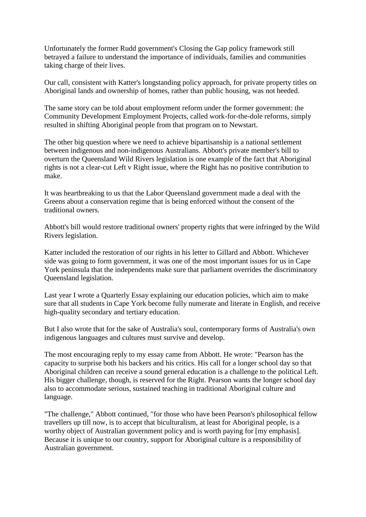Unfortunately the former Rudd government's Closing the Gap policy framework still betrayed a failure to understand the importance of individuals, families and communities taking charge of their lives.

Our call, consistent with Katter's longstanding policy approach, for private property titles on Aboriginal lands and ownership of homes, rather than public housing, was not heeded.

The same story can be told about employment reform under the former government: the Community Development Employment Projects, called work-for-the-dole reforms, simply resulted in shifting Aboriginal people from that program on to Newstart.

The other big question where we need to achieve bipartisanship is a national settlement between indigenous and non-indigenous Australians. Abbott's private member's bill to overturn the Queensland Wild Rivers legislation is one example of the fact that Aboriginal rights is not a clear-cut Left v Right issue, where the Right has no positive contribution to make.

It was heartbreaking to us that the Labor Queensland government made a deal with the Greens about a conservation regime that is being enforced without the consent of the traditional owners.

Abbott's bill would restore traditional owners' property rights that were infringed by the Wild Rivers legislation.

Katter included the restoration of our rights in his letter to Gillard and Abbott. Whichever side was going to form government, it was one of the most important issues for us in Cape York peninsula that the independents make sure that parliament overrides the discriminatory Queensland legislation.

Last year I wrote a Quarterly Essay explaining our education policies, which aim to make sure that all students in Cape York become fully numerate and literate in English, and receive high-quality secondary and tertiary education.

But I also wrote that for the sake of Australia's soul, contemporary forms of Australia's own indigenous languages and cultures must survive and develop.

The most encouraging reply to my essay came from Abbott. He wrote: "Pearson has the capacity to surprise both his backers and his critics. His call for a longer school day so that Aboriginal children can receive a sound general education is a challenge to the political Left. His bigger challenge, though, is reserved for the Right. Pearson wants the longer school day also to accommodate serious, sustained teaching in traditional Aboriginal culture and language.

"The challenge," Abbott continued, "for those who have been Pearson's philosophical fellow travellers up till now, is to accept that biculturalism, at least for Aboriginal people, is a worthy object of Australian government policy and is worth paying for [my emphasis]. Because it is unique to our country, support for Aboriginal culture is a responsibility of Australian government.